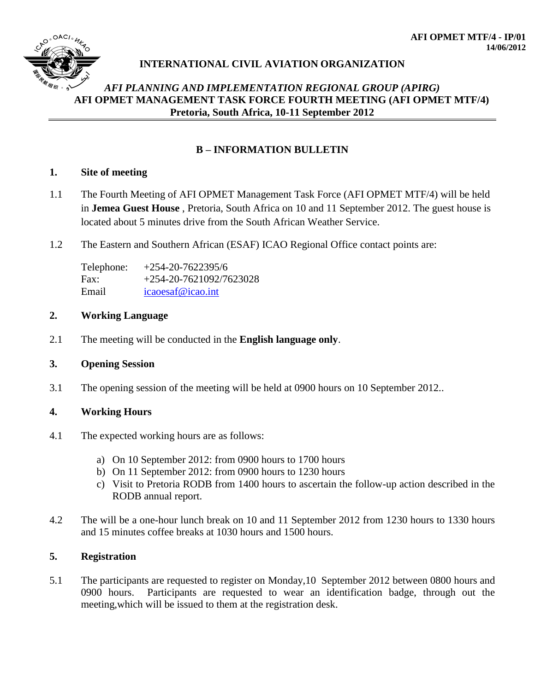

## *AFI PLANNING AND IMPLEMENTATION REGIONAL GROUP (APIRG)* **AFI OPMET MANAGEMENT TASK FORCE FOURTH MEETING (AFI OPMET MTF/4) Pretoria, South Africa, 10-11 September 2012**

## **B – INFORMATION BULLETIN**

#### **1. Site of meeting**

- 1.1 The Fourth Meeting of AFI OPMET Management Task Force (AFI OPMET MTF/4) will be held in **Jemea Guest House** , Pretoria, South Africa on 10 and 11 September 2012. The guest house is located about 5 minutes drive from the South African Weather Service.
- 1.2 The Eastern and Southern African (ESAF) ICAO Regional Office contact points are:

| Telephone: | $+254-20-7622395/6$     |
|------------|-------------------------|
| Fax:       | +254-20-7621092/7623028 |
| Email      | icaoesaf@icao.int       |

#### **2. Working Language**

2.1 The meeting will be conducted in the **English language only**.

### **3. Opening Session**

3.1 The opening session of the meeting will be held at 0900 hours on 10 September 2012..

### **4. Working Hours**

- 4.1 The expected working hours are as follows:
	- a) On 10 September 2012: from 0900 hours to 1700 hours
	- b) On 11 September 2012: from 0900 hours to 1230 hours
	- c) Visit to Pretoria RODB from 1400 hours to ascertain the follow-up action described in the RODB annual report.
- 4.2 The will be a one-hour lunch break on 10 and 11 September 2012 from 1230 hours to 1330 hours and 15 minutes coffee breaks at 1030 hours and 1500 hours.

### **5. Registration**

5.1 The participants are requested to register on Monday,10 September 2012 between 0800 hours and 0900 hours. Participants are requested to wear an identification badge, through out the meeting,which will be issued to them at the registration desk.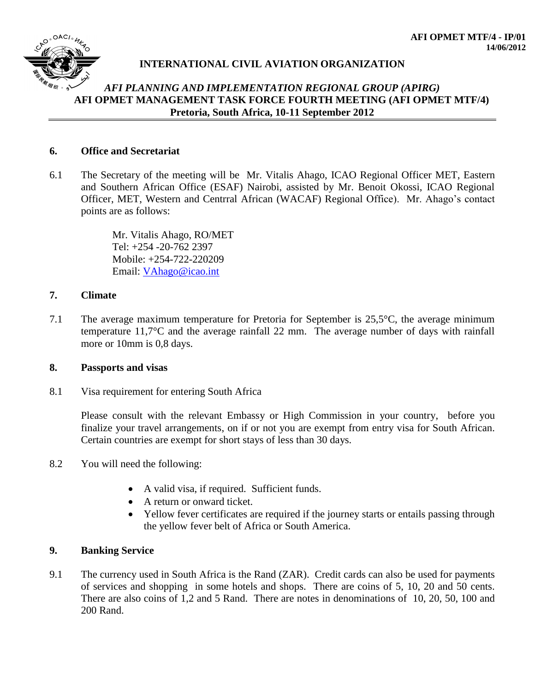

## *AFI PLANNING AND IMPLEMENTATION REGIONAL GROUP (APIRG)* **AFI OPMET MANAGEMENT TASK FORCE FOURTH MEETING (AFI OPMET MTF/4) Pretoria, South Africa, 10-11 September 2012**

### **6. Office and Secretariat**

6.1 The Secretary of the meeting will be Mr. Vitalis Ahago, ICAO Regional Officer MET, Eastern and Southern African Office (ESAF) Nairobi, assisted by Mr. Benoit Okossi, ICAO Regional Officer, MET, Western and Centrral African (WACAF) Regional Office). Mr. Ahago's contact points are as follows:

> Mr. Vitalis Ahago, RO/MET Tel: +254 -20-762 2397 Mobile: +254-722-220209 Email: [VAhago@icao.int](mailto:VAhago@icao.int)

#### **7. Climate**

7.1 The average maximum temperature for Pretoria for September is 25,5°C, the average minimum temperature 11,7°C and the average rainfall 22 mm. The average number of days with rainfall more or 10mm is 0,8 days.

#### **8. Passports and visas**

8.1 Visa requirement for entering South Africa

Please consult with the relevant Embassy or High Commission in your country, before you finalize your travel arrangements, on if or not you are exempt from entry visa for South African. Certain countries are exempt for short stays of less than 30 days.

- 8.2 You will need the following:
	- A valid visa, if required. Sufficient funds.
	- A return or onward ticket.
	- Yellow fever certificates are required if the journey starts or entails passing through the yellow fever belt of Africa or South America.

#### **9. Banking Service**

9.1 The currency used in South Africa is the Rand (ZAR). Credit cards can also be used for payments of services and shopping in some hotels and shops. There are coins of 5, 10, 20 and 50 cents. There are also coins of 1,2 and 5 Rand. There are notes in denominations of 10, 20, 50, 100 and 200 Rand.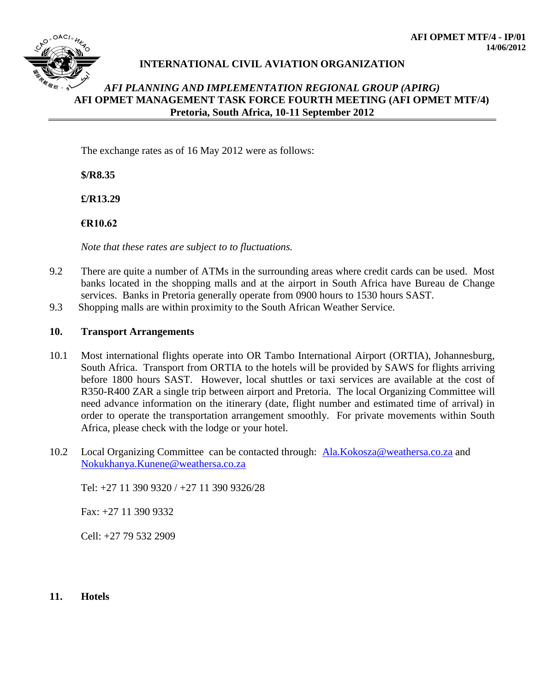

### *AFI PLANNING AND IMPLEMENTATION REGIONAL GROUP (APIRG)* **AFI OPMET MANAGEMENT TASK FORCE FOURTH MEETING (AFI OPMET MTF/4) Pretoria, South Africa, 10-11 September 2012**

The exchange rates as of 16 May 2012 were as follows:

**\$/R8.35**

**£/R13.29**

**€R10.62**

*Note that these rates are subject to to fluctuations.*

- 9.2 There are quite a number of ATMs in the surrounding areas where credit cards can be used. Most banks located in the shopping malls and at the airport in South Africa have Bureau de Change services. Banks in Pretoria generally operate from 0900 hours to 1530 hours SAST.
- 9.3 Shopping malls are within proximity to the South African Weather Service.

#### **10. Transport Arrangements**

- 10.1 Most international flights operate into OR Tambo International Airport (ORTIA), Johannesburg, South Africa. Transport from ORTIA to the hotels will be provided by SAWS for flights arriving before 1800 hours SAST. However, local shuttles or taxi services are available at the cost of R350-R400 ZAR a single trip between airport and Pretoria. The local Organizing Committee will need advance information on the itinerary (date, flight number and estimated time of arrival) in order to operate the transportation arrangement smoothly. For private movements within South Africa, please check with the lodge or your hotel.
- 10.2 Local Organizing Committee can be contacted through: [Ala.Kokosza@weathersa.co.za](mailto:Ala.Kokosza@weathersa.co.za) and [Nokukhanya.Kunene@weathersa.co.za](mailto:Nokukhanya.Kunene@weathersa.co.za)

Tel: +27 11 390 9320 / +27 11 390 9326/28

Fax: +27 11 390 9332

Cell: +27 79 532 2909

**11. Hotels**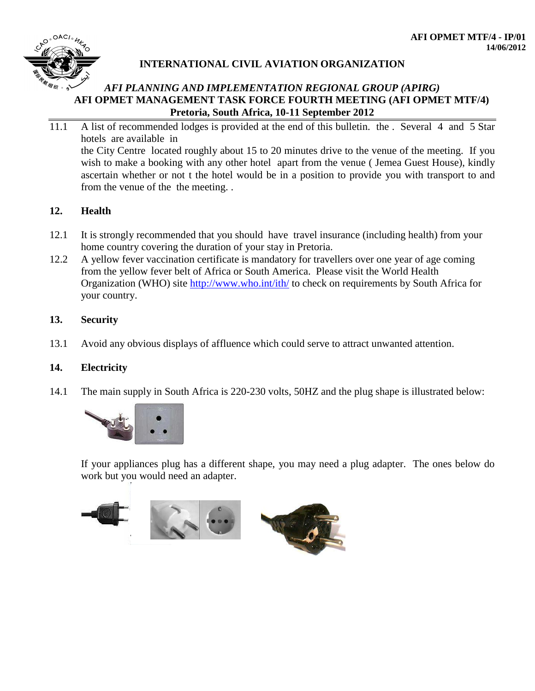

## *AFI PLANNING AND IMPLEMENTATION REGIONAL GROUP (APIRG)* **AFI OPMET MANAGEMENT TASK FORCE FOURTH MEETING (AFI OPMET MTF/4) Pretoria, South Africa, 10-11 September 2012**

11.1 A list of recommended lodges is provided at the end of this bulletin. the . Several 4 and 5 Star hotels are available in the City Centre located roughly about 15 to 20 minutes drive to the venue of the meeting. If you wish to make a booking with any other hotel apart from the venue (Jemea Guest House), kindly ascertain whether or not t the hotel would be in a position to provide you with transport to and from the venue of the the meeting. .

## **12. Health**

- 12.1 It is strongly recommended that you should have travel insurance (including health) from your home country covering the duration of your stay in Pretoria.
- 12.2 A yellow fever vaccination certificate is mandatory for travellers over one year of age coming from the yellow fever belt of Africa or South America. Please visit the World Health Organization (WHO) site<http://www.who.int/ith/> to check on requirements by South Africa for your country.

## **13. Security**

13.1 Avoid any obvious displays of affluence which could serve to attract unwanted attention.

## **14. Electricity**

14.1 The main supply in South Africa is 220-230 volts, 50HZ and the plug shape is illustrated below:



If your appliances plug has a different shape, you may need a plug adapter. The ones below do work but you would need an adapter.